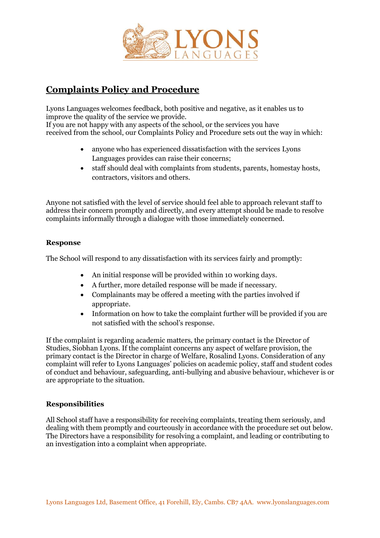

# **Complaints Policy and Procedure**

Lyons Languages welcomes feedback, both positive and negative, as it enables us to improve the quality of the service we provide. If you are not happy with any aspects of the school, or the services you have received from the school, our Complaints Policy and Procedure sets out the way in which:

- anyone who has experienced dissatisfaction with the services Lyons Languages provides can raise their concerns;
- staff should deal with complaints from students, parents, homestay hosts, contractors, visitors and others.

Anyone not satisfied with the level of service should feel able to approach relevant staff to address their concern promptly and directly, and every attempt should be made to resolve complaints informally through a dialogue with those immediately concerned.

## **Response**

The School will respond to any dissatisfaction with its services fairly and promptly:

- An initial response will be provided within 10 working days.
- A further, more detailed response will be made if necessary.
- Complainants may be offered a meeting with the parties involved if appropriate.
- Information on how to take the complaint further will be provided if you are not satisfied with the school's response.

If the complaint is regarding academic matters, the primary contact is the Director of Studies, Siobhan Lyons. If the complaint concerns any aspect of welfare provision, the primary contact is the Director in charge of Welfare, Rosalind Lyons. Consideration of any complaint will refer to Lyons Languages' policies on academic policy, staff and student codes of conduct and behaviour, safeguarding, anti-bullying and abusive behaviour, whichever is or are appropriate to the situation.

## **Responsibilities**

All School staff have a responsibility for receiving complaints, treating them seriously, and dealing with them promptly and courteously in accordance with the procedure set out below. The Directors have a responsibility for resolving a complaint, and leading or contributing to an investigation into a complaint when appropriate.